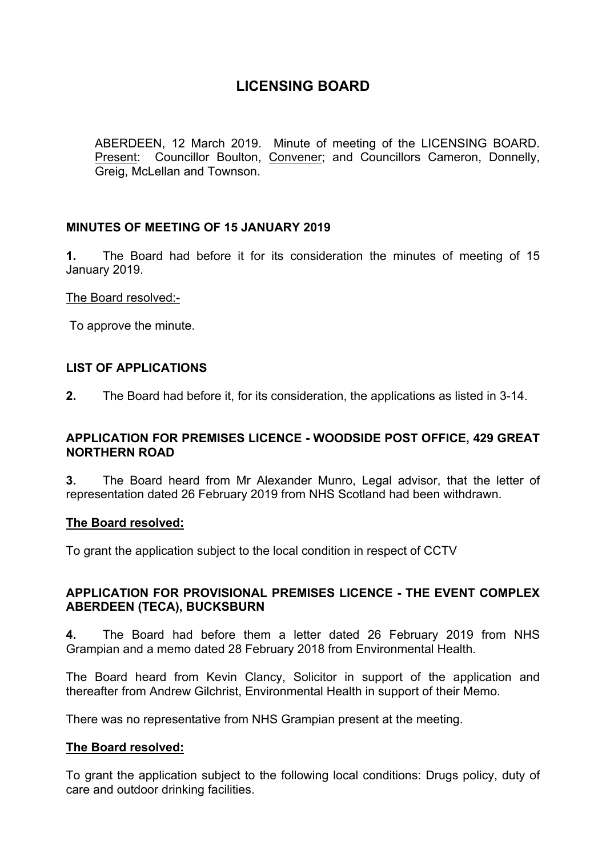## **LICENSING BOARD**

ABERDEEN, 12 March 2019. Minute of meeting of the LICENSING BOARD. Present: Councillor Boulton, Convener; and Councillors Cameron, Donnelly, Greig, McLellan and Townson.

## **MINUTES OF MEETING OF 15 JANUARY 2019**

**1.** The Board had before it for its consideration the minutes of meeting of 15 January 2019.

The Board resolved:-

To approve the minute.

## **LIST OF APPLICATIONS**

**2.** The Board had before it, for its consideration, the applications as listed in 3-14.

## **APPLICATION FOR PREMISES LICENCE - WOODSIDE POST OFFICE, 429 GREAT NORTHERN ROAD**

**3.** The Board heard from Mr Alexander Munro, Legal advisor, that the letter of representation dated 26 February 2019 from NHS Scotland had been withdrawn.

## **The Board resolved:**

To grant the application subject to the local condition in respect of CCTV

## **APPLICATION FOR PROVISIONAL PREMISES LICENCE - THE EVENT COMPLEX ABERDEEN (TECA), BUCKSBURN**

**4.** The Board had before them a letter dated 26 February 2019 from NHS Grampian and a memo dated 28 February 2018 from Environmental Health.

The Board heard from Kevin Clancy, Solicitor in support of the application and thereafter from Andrew Gilchrist, Environmental Health in support of their Memo.

There was no representative from NHS Grampian present at the meeting.

## **The Board resolved:**

To grant the application subject to the following local conditions: Drugs policy, duty of care and outdoor drinking facilities.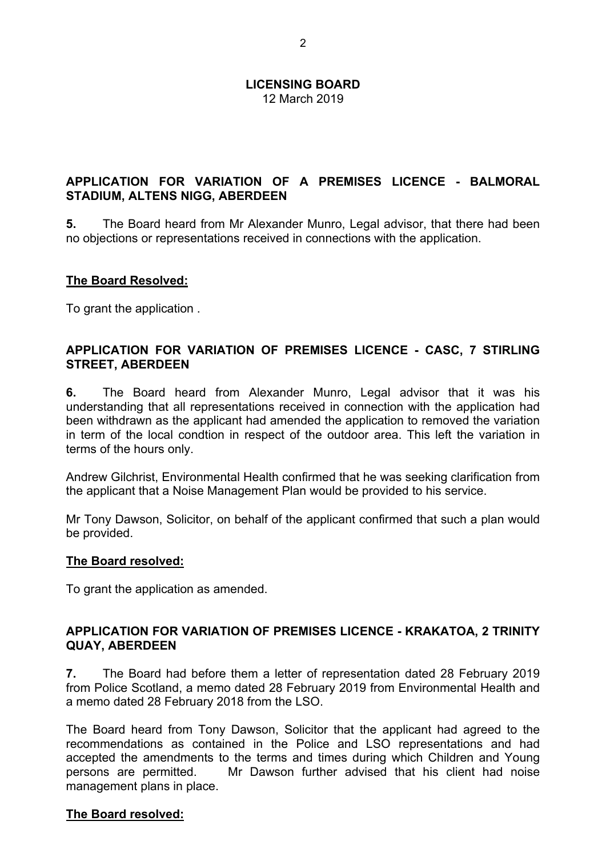## **APPLICATION FOR VARIATION OF A PREMISES LICENCE - BALMORAL STADIUM, ALTENS NIGG, ABERDEEN**

**5.** The Board heard from Mr Alexander Munro, Legal advisor, that there had been no objections or representations received in connections with the application.

## **The Board Resolved:**

To grant the application .

## **APPLICATION FOR VARIATION OF PREMISES LICENCE - CASC, 7 STIRLING STREET, ABERDEEN**

**6.** The Board heard from Alexander Munro, Legal advisor that it was his understanding that all representations received in connection with the application had been withdrawn as the applicant had amended the application to removed the variation in term of the local condtion in respect of the outdoor area. This left the variation in terms of the hours only.

Andrew Gilchrist, Environmental Health confirmed that he was seeking clarification from the applicant that a Noise Management Plan would be provided to his service.

Mr Tony Dawson, Solicitor, on behalf of the applicant confirmed that such a plan would be provided.

## **The Board resolved:**

To grant the application as amended.

## **APPLICATION FOR VARIATION OF PREMISES LICENCE - KRAKATOA, 2 TRINITY QUAY, ABERDEEN**

**7.** The Board had before them a letter of representation dated 28 February 2019 from Police Scotland, a memo dated 28 February 2019 from Environmental Health and a memo dated 28 February 2018 from the LSO.

The Board heard from Tony Dawson, Solicitor that the applicant had agreed to the recommendations as contained in the Police and LSO representations and had accepted the amendments to the terms and times during which Children and Young persons are permitted. Mr Dawson further advised that his client had noise management plans in place.

#### **The Board resolved:**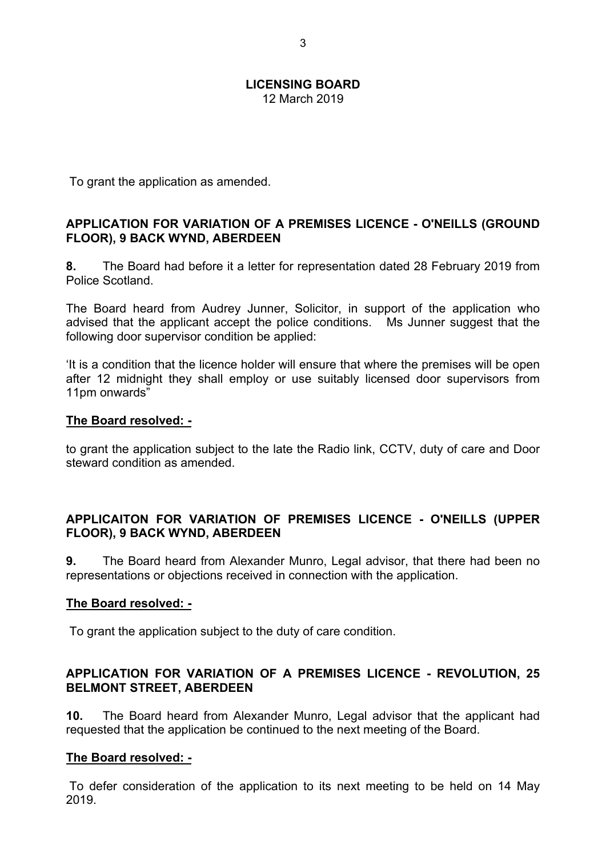To grant the application as amended.

## **APPLICATION FOR VARIATION OF A PREMISES LICENCE - O'NEILLS (GROUND FLOOR), 9 BACK WYND, ABERDEEN**

**8.** The Board had before it a letter for representation dated 28 February 2019 from Police Scotland.

The Board heard from Audrey Junner, Solicitor, in support of the application who advised that the applicant accept the police conditions. Ms Junner suggest that the following door supervisor condition be applied:

'It is a condition that the licence holder will ensure that where the premises will be open after 12 midnight they shall employ or use suitably licensed door supervisors from 11pm onwards"

#### **The Board resolved: -**

to grant the application subject to the late the Radio link, CCTV, duty of care and Door steward condition as amended.

## **APPLICAITON FOR VARIATION OF PREMISES LICENCE - O'NEILLS (UPPER FLOOR), 9 BACK WYND, ABERDEEN**

**9.** The Board heard from Alexander Munro, Legal advisor, that there had been no representations or objections received in connection with the application.

## **The Board resolved: -**

To grant the application subject to the duty of care condition.

## **APPLICATION FOR VARIATION OF A PREMISES LICENCE - REVOLUTION, 25 BELMONT STREET, ABERDEEN**

**10.** The Board heard from Alexander Munro, Legal advisor that the applicant had requested that the application be continued to the next meeting of the Board.

## **The Board resolved: -**

To defer consideration of the application to its next meeting to be held on 14 May 2019.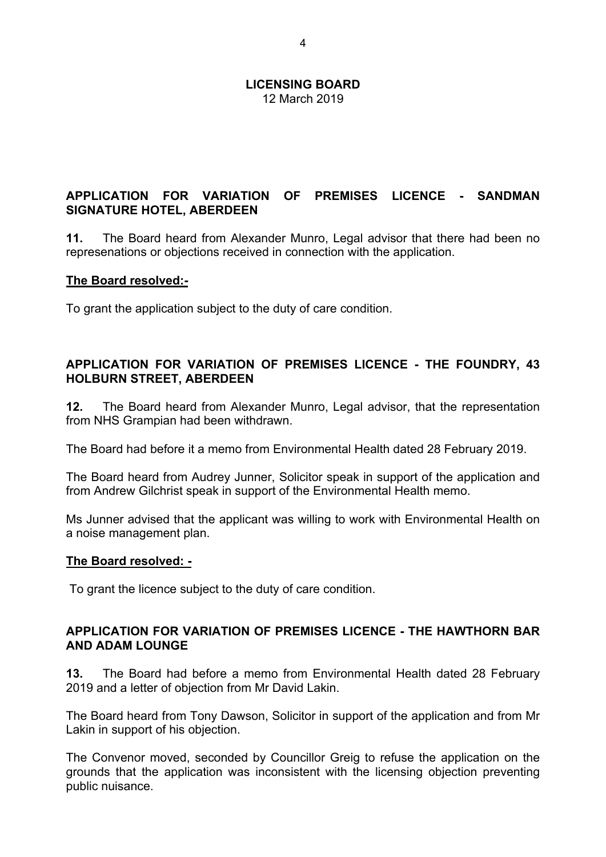## **APPLICATION FOR VARIATION OF PREMISES LICENCE - SANDMAN SIGNATURE HOTEL, ABERDEEN**

**11.** The Board heard from Alexander Munro, Legal advisor that there had been no represenations or objections received in connection with the application.

## **The Board resolved:-**

To grant the application subject to the duty of care condition.

## **APPLICATION FOR VARIATION OF PREMISES LICENCE - THE FOUNDRY, 43 HOLBURN STREET, ABERDEEN**

**12.** The Board heard from Alexander Munro, Legal advisor, that the representation from NHS Grampian had been withdrawn.

The Board had before it a memo from Environmental Health dated 28 February 2019.

The Board heard from Audrey Junner, Solicitor speak in support of the application and from Andrew Gilchrist speak in support of the Environmental Health memo.

Ms Junner advised that the applicant was willing to work with Environmental Health on a noise management plan.

## **The Board resolved: -**

To grant the licence subject to the duty of care condition.

## **APPLICATION FOR VARIATION OF PREMISES LICENCE - THE HAWTHORN BAR AND ADAM LOUNGE**

**13.** The Board had before a memo from Environmental Health dated 28 February 2019 and a letter of objection from Mr David Lakin.

The Board heard from Tony Dawson, Solicitor in support of the application and from Mr Lakin in support of his objection.

The Convenor moved, seconded by Councillor Greig to refuse the application on the grounds that the application was inconsistent with the licensing objection preventing public nuisance.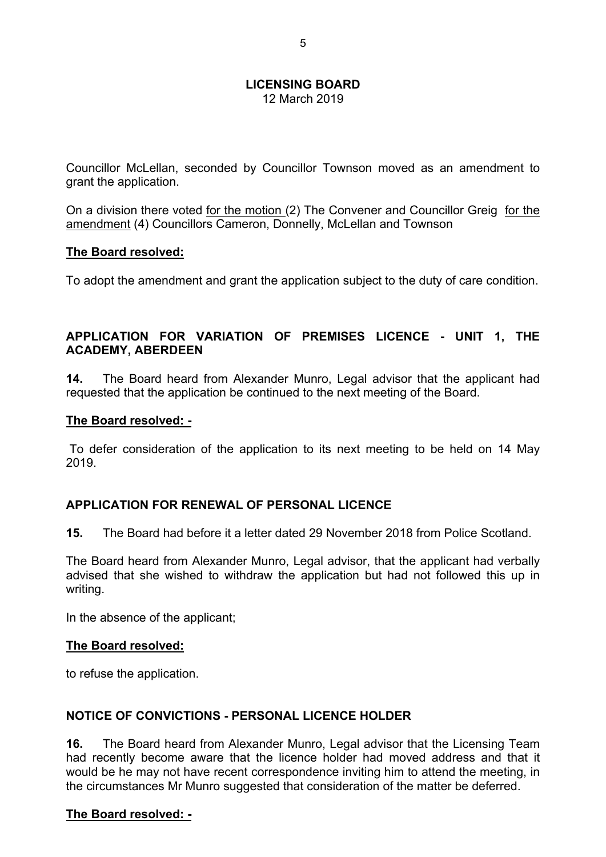Councillor McLellan, seconded by Councillor Townson moved as an amendment to grant the application.

On a division there voted for the motion (2) The Convener and Councillor Greig for the amendment (4) Councillors Cameron, Donnelly, McLellan and Townson

## **The Board resolved:**

To adopt the amendment and grant the application subject to the duty of care condition.

## **APPLICATION FOR VARIATION OF PREMISES LICENCE - UNIT 1, THE ACADEMY, ABERDEEN**

**14.** The Board heard from Alexander Munro, Legal advisor that the applicant had requested that the application be continued to the next meeting of the Board.

#### **The Board resolved: -**

To defer consideration of the application to its next meeting to be held on 14 May 2019.

## **APPLICATION FOR RENEWAL OF PERSONAL LICENCE**

**15.** The Board had before it a letter dated 29 November 2018 from Police Scotland.

The Board heard from Alexander Munro, Legal advisor, that the applicant had verbally advised that she wished to withdraw the application but had not followed this up in writing.

In the absence of the applicant;

#### **The Board resolved:**

to refuse the application.

## **NOTICE OF CONVICTIONS - PERSONAL LICENCE HOLDER**

**16.** The Board heard from Alexander Munro, Legal advisor that the Licensing Team had recently become aware that the licence holder had moved address and that it would be he may not have recent correspondence inviting him to attend the meeting, in the circumstances Mr Munro suggested that consideration of the matter be deferred.

## **The Board resolved: -**